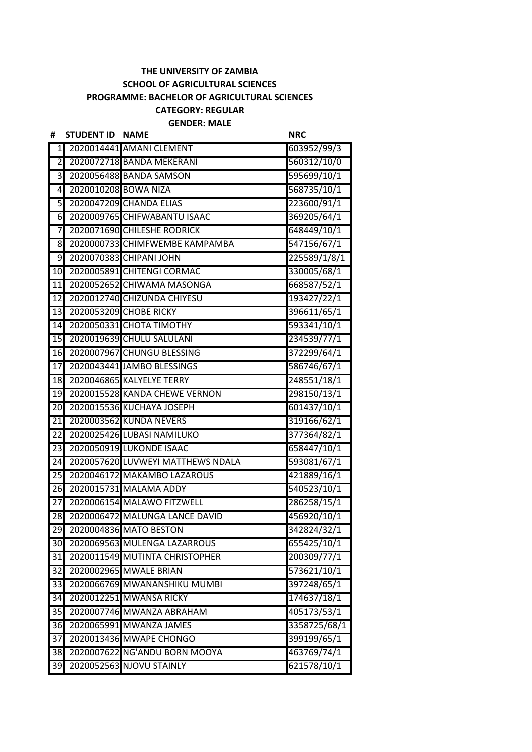## **THE UNIVERSITY OF ZAMBIA SCHOOL OF AGRICULTURAL SCIENCES PROGRAMME: BACHELOR OF AGRICULTURAL SCIENCES CATEGORY: REGULAR**

**GENDER: MALE**

| #                | <b>STUDENT ID</b>    | <b>NAME</b>                       | <b>NRC</b>   |
|------------------|----------------------|-----------------------------------|--------------|
| $\mathbf{1}$     |                      | 2020014441 AMANI CLEMENT          | 603952/99/3  |
| $\overline{2}$   |                      | 2020072718 BANDA MEKERANI         | 560312/10/0  |
| نن               |                      | 2020056488 BANDA SAMSON           | 595699/10/1  |
| 4                | 2020010208 BOWA NIZA |                                   | 568735/10/1  |
| 5                |                      | 2020047209 CHANDA ELIAS           | 223600/91/1  |
| $6 \overline{6}$ |                      | 2020009765 CHIFWABANTU ISAAC      | 369205/64/1  |
| 7                |                      | 2020071690 CHILESHE RODRICK       | 648449/10/1  |
| 8                |                      | 2020000733 CHIMFWEMBE KAMPAMBA    | 547156/67/1  |
| 9                |                      | 2020070383 CHIPANI JOHN           | 225589/1/8/1 |
| 10               |                      | 2020005891 CHITENGI CORMAC        | 330005/68/1  |
| 11               |                      | 2020052652 CHIWAMA MASONGA        | 668587/52/1  |
| 12               |                      | 2020012740 CHIZUNDA CHIYESU       | 193427/22/1  |
| 13               |                      | 2020053209 CHOBE RICKY            | 396611/65/1  |
| 14               |                      | 2020050331 CHOTA TIMOTHY          | 593341/10/1  |
| 15               |                      | 2020019639 CHULU SALULANI         | 234539/77/1  |
| 16               |                      | 2020007967 CHUNGU BLESSING        | 372299/64/1  |
| 17               |                      | 2020043441 JAMBO BLESSINGS        | 586746/67/1  |
| 18               |                      | 2020046865 KALYELYE TERRY         | 248551/18/1  |
| 19               |                      | 2020015528 KANDA CHEWE VERNON     | 298150/13/1  |
| $\overline{2}0$  |                      | 2020015536 KUCHAYA JOSEPH         | 601437/10/1  |
| 21               |                      | 2020003562 KUNDA NEVERS           | 319166/62/1  |
| 22               |                      | 2020025426 LUBASI NAMILUKO        | 377364/82/1  |
| 23               |                      | 2020050919 LUKONDE ISAAC          | 658447/10/1  |
| 24               |                      | 2020057620 LUVWEYI MATTHEWS NDALA | 593081/67/1  |
| 25               |                      | 2020046172 MAKAMBO LAZAROUS       | 421889/16/1  |
| 26               |                      | 2020015731 MALAMA ADDY            | 540523/10/1  |
| 27               |                      | 2020006154 MALAWO FITZWELL        | 286258/15/1  |
| 28               |                      | 2020006472 MALUNGA LANCE DAVID    | 456920/10/1  |
|                  |                      | 29 2020004836 MATO BESTON         | 342824/32/1  |
| 30               |                      | 2020069563 MULENGA LAZARROUS      | 655425/10/1  |
| 31               |                      | 2020011549 MUTINTA CHRISTOPHER    | 200309/77/1  |
| 32               |                      | 2020002965 MWALE BRIAN            | 573621/10/1  |
| 33               |                      | 2020066769 MWANANSHIKU MUMBI      | 397248/65/1  |
| 34               |                      | 2020012251 MWANSA RICKY           | 174637/18/1  |
| 35               |                      | 2020007746 MWANZA ABRAHAM         | 405173/53/1  |
| 36               |                      | 2020065991 MWANZA JAMES           | 3358725/68/1 |
| $\overline{3}$   |                      | 2020013436 MWAPE CHONGO           | 399199/65/1  |
| 38               |                      | 2020007622 NG'ANDU BORN MOOYA     | 463769/74/1  |
| 39               |                      | 2020052563 NJOVU STAINLY          | 621578/10/1  |